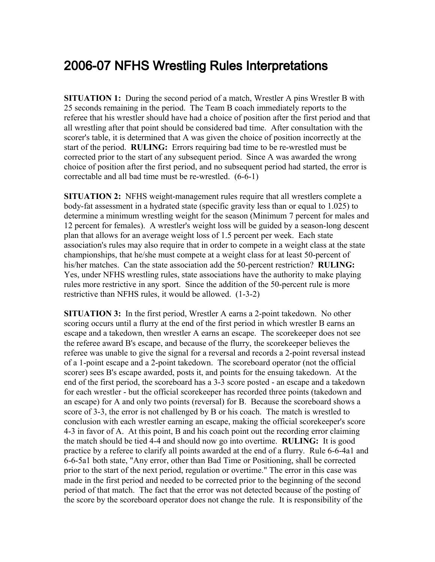## 2006-07 NFHS Wrestling Rules Interpretations

**SITUATION 1:** During the second period of a match, Wrestler A pins Wrestler B with 25 seconds remaining in the period. The Team B coach immediately reports to the referee that his wrestler should have had a choice of position after the first period and that all wrestling after that point should be considered bad time. After consultation with the scorer's table, it is determined that A was given the choice of position incorrectly at the start of the period. **RULING:** Errors requiring bad time to be re-wrestled must be corrected prior to the start of any subsequent period. Since A was awarded the wrong choice of position after the first period, and no subsequent period had started, the error is correctable and all bad time must be re-wrestled. (6-6-1)

**SITUATION 2:** NFHS weight-management rules require that all wrestlers complete a body-fat assessment in a hydrated state (specific gravity less than or equal to 1.025) to determine a minimum wrestling weight for the season (Minimum 7 percent for males and 12 percent for females). A wrestler's weight loss will be guided by a season-long descent plan that allows for an average weight loss of 1.5 percent per week. Each state association's rules may also require that in order to compete in a weight class at the state championships, that he/she must compete at a weight class for at least 50-percent of his/her matches. Can the state association add the 50-percent restriction? **RULING:** Yes, under NFHS wrestling rules, state associations have the authority to make playing rules more restrictive in any sport. Since the addition of the 50-percent rule is more restrictive than NFHS rules, it would be allowed. (1-3-2)

**SITUATION 3:** In the first period, Wrestler A earns a 2-point takedown. No other scoring occurs until a flurry at the end of the first period in which wrestler B earns an escape and a takedown, then wrestler A earns an escape. The scorekeeper does not see the referee award B's escape, and because of the flurry, the scorekeeper believes the referee was unable to give the signal for a reversal and records a 2-point reversal instead of a 1-point escape and a 2-point takedown. The scoreboard operator (not the official scorer) sees B's escape awarded, posts it, and points for the ensuing takedown. At the end of the first period, the scoreboard has a 3-3 score posted - an escape and a takedown for each wrestler - but the official scorekeeper has recorded three points (takedown and an escape) for A and only two points (reversal) for B. Because the scoreboard shows a score of 3-3, the error is not challenged by B or his coach. The match is wrestled to conclusion with each wrestler earning an escape, making the official scorekeeper's score 4-3 in favor of A. At this point, B and his coach point out the recording error claiming the match should be tied 4-4 and should now go into overtime. **RULING:** It is good practice by a referee to clarify all points awarded at the end of a flurry. Rule 6-6-4a1 and 6-6-5a1 both state, "Any error, other than Bad Time or Positioning, shall be corrected prior to the start of the next period, regulation or overtime." The error in this case was made in the first period and needed to be corrected prior to the beginning of the second period of that match. The fact that the error was not detected because of the posting of the score by the scoreboard operator does not change the rule. It is responsibility of the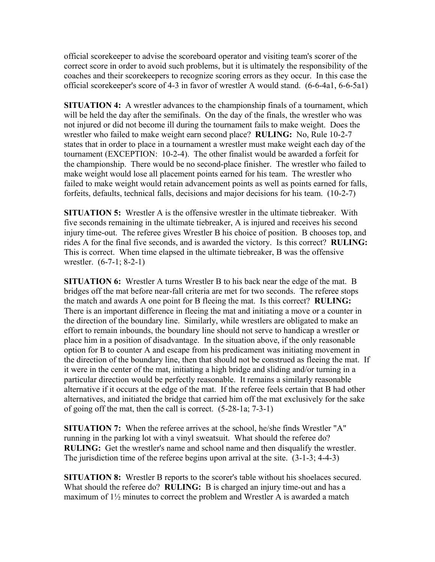official scorekeeper to advise the scoreboard operator and visiting team's scorer of the correct score in order to avoid such problems, but it is ultimately the responsibility of the coaches and their scorekeepers to recognize scoring errors as they occur. In this case the official scorekeeper's score of 4-3 in favor of wrestler A would stand. (6-6-4a1, 6-6-5a1)

**SITUATION 4:** A wrestler advances to the championship finals of a tournament, which will be held the day after the semifinals. On the day of the finals, the wrestler who was not injured or did not become ill during the tournament fails to make weight. Does the wrestler who failed to make weight earn second place? **RULING:** No, Rule 10-2-7 states that in order to place in a tournament a wrestler must make weight each day of the tournament (EXCEPTION: 10-2-4). The other finalist would be awarded a forfeit for the championship. There would be no second-place finisher. The wrestler who failed to make weight would lose all placement points earned for his team. The wrestler who failed to make weight would retain advancement points as well as points earned for falls, forfeits, defaults, technical falls, decisions and major decisions for his team. (10-2-7)

**SITUATION 5:** Wrestler A is the offensive wrestler in the ultimate tiebreaker. With five seconds remaining in the ultimate tiebreaker, A is injured and receives his second injury time-out. The referee gives Wrestler B his choice of position. B chooses top, and rides A for the final five seconds, and is awarded the victory. Is this correct? **RULING:** This is correct. When time elapsed in the ultimate tiebreaker, B was the offensive wrestler. (6-7-1; 8-2-1)

**SITUATION 6:** Wrestler A turns Wrestler B to his back near the edge of the mat. B bridges off the mat before near-fall criteria are met for two seconds. The referee stops the match and awards A one point for B fleeing the mat. Is this correct? **RULING:** There is an important difference in fleeing the mat and initiating a move or a counter in the direction of the boundary line. Similarly, while wrestlers are obligated to make an effort to remain inbounds, the boundary line should not serve to handicap a wrestler or place him in a position of disadvantage. In the situation above, if the only reasonable option for B to counter A and escape from his predicament was initiating movement in the direction of the boundary line, then that should not be construed as fleeing the mat. If it were in the center of the mat, initiating a high bridge and sliding and/or turning in a particular direction would be perfectly reasonable. It remains a similarly reasonable alternative if it occurs at the edge of the mat. If the referee feels certain that B had other alternatives, and initiated the bridge that carried him off the mat exclusively for the sake of going off the mat, then the call is correct. (5-28-1a; 7-3-1)

**SITUATION 7:** When the referee arrives at the school, he/she finds Wrestler "A" running in the parking lot with a vinyl sweatsuit. What should the referee do? **RULING:** Get the wrestler's name and school name and then disqualify the wrestler. The jurisdiction time of the referee begins upon arrival at the site.  $(3-1-3; 4-4-3)$ 

**SITUATION 8:** Wrestler B reports to the scorer's table without his shoelaces secured. What should the referee do? **RULING:** B is charged an injury time-out and has a maximum of 1½ minutes to correct the problem and Wrestler A is awarded a match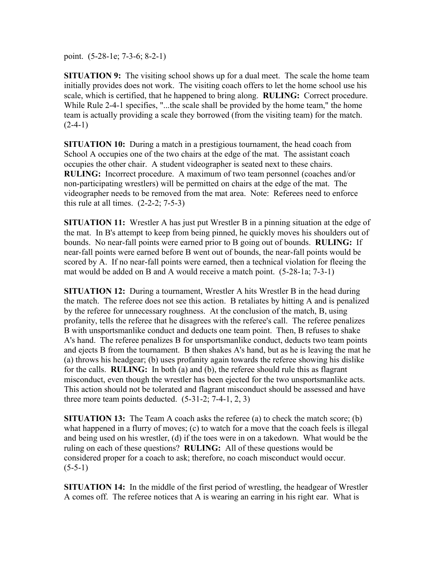point. (5-28-1e; 7-3-6; 8-2-1)

**SITUATION 9:** The visiting school shows up for a dual meet. The scale the home team initially provides does not work. The visiting coach offers to let the home school use his scale, which is certified, that he happened to bring along. **RULING:** Correct procedure. While Rule 2-4-1 specifies, "...the scale shall be provided by the home team," the home team is actually providing a scale they borrowed (from the visiting team) for the match.  $(2-4-1)$ 

**SITUATION 10:** During a match in a prestigious tournament, the head coach from School A occupies one of the two chairs at the edge of the mat. The assistant coach occupies the other chair. A student videographer is seated next to these chairs. **RULING:** Incorrect procedure. A maximum of two team personnel (coaches and/or non-participating wrestlers) will be permitted on chairs at the edge of the mat. The videographer needs to be removed from the mat area. Note: Referees need to enforce this rule at all times.  $(2-2-2; 7-5-3)$ 

**SITUATION 11:** Wrestler A has just put Wrestler B in a pinning situation at the edge of the mat. In B's attempt to keep from being pinned, he quickly moves his shoulders out of bounds. No near-fall points were earned prior to B going out of bounds. **RULING:** If near-fall points were earned before B went out of bounds, the near-fall points would be scored by A. If no near-fall points were earned, then a technical violation for fleeing the mat would be added on B and A would receive a match point. (5-28-1a; 7-3-1)

**SITUATION 12:** During a tournament, Wrestler A hits Wrestler B in the head during the match. The referee does not see this action. B retaliates by hitting A and is penalized by the referee for unnecessary roughness. At the conclusion of the match, B, using profanity, tells the referee that he disagrees with the referee's call. The referee penalizes B with unsportsmanlike conduct and deducts one team point. Then, B refuses to shake A's hand. The referee penalizes B for unsportsmanlike conduct, deducts two team points and ejects B from the tournament. B then shakes A's hand, but as he is leaving the mat he (a) throws his headgear; (b) uses profanity again towards the referee showing his dislike for the calls. **RULING:** In both (a) and (b), the referee should rule this as flagrant misconduct, even though the wrestler has been ejected for the two unsportsmanlike acts. This action should not be tolerated and flagrant misconduct should be assessed and have three more team points deducted.  $(5-31-2; 7-4-1, 2, 3)$ 

**SITUATION 13:** The Team A coach asks the referee (a) to check the match score; (b) what happened in a flurry of moves; (c) to watch for a move that the coach feels is illegal and being used on his wrestler, (d) if the toes were in on a takedown. What would be the ruling on each of these questions? **RULING:** All of these questions would be considered proper for a coach to ask; therefore, no coach misconduct would occur.  $(5-5-1)$ 

**SITUATION 14:** In the middle of the first period of wrestling, the headgear of Wrestler A comes off. The referee notices that A is wearing an earring in his right ear. What is